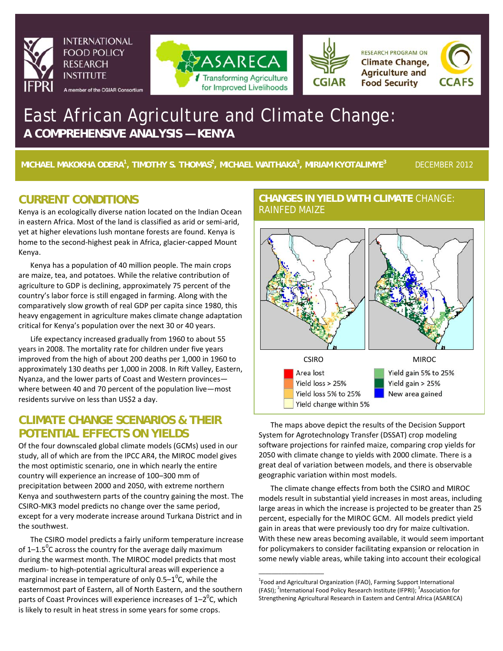

**INTERNATIONAL FOOD POLICY RESEARCH INSTITUTE** 

A member of the CGIAR Consortium



**RESEARCH PROGRAM ON Climate Change, Agriculture and Food Security** 



# East African Agriculture and Climate Change: **A COMPREHENSIVE ANALYSIS — KENYA**

**MICHAEL MAKOKHA ODERA<sup>1</sup> , TIMOTHY S. THOMAS2 , MICHAEL WAITHAKA<sup>3</sup> , MIRIAM KYOTALIMYE<sup>3</sup>**DECEMBER 2012

## **CURRENT CONDITIONS**

Kenya is an ecologically diverse nation located on the Indian Ocean in eastern Africa. Most of the land is classified as arid or semi-arid, yet at higher elevations lush montane forests are found. Kenya is home to the second-highest peak in Africa, glacier-capped Mount Kenya.

Kenya has a population of 40 million people. The main crops are maize, tea, and potatoes. While the relative contribution of agriculture to GDP is declining, approximately 75 percent of the country's labor force is still engaged in farming. Along with the comparatively slow growth of real GDP per capita since 1980, this heavy engagement in agriculture makes climate change adaptation critical for Kenya's population over the next 30 or 40 years.

Life expectancy increased gradually from 1960 to about 55 years in 2008. The mortality rate for children under five years improved from the high of about 200 deaths per 1,000 in 1960 to approximately 130 deaths per 1,000 in 2008. In Rift Valley, Eastern, Nyanza, and the lower parts of Coast and Western provinces where between 40 and 70 percent of the population live—most residents survive on less than US\$2 a day.

# **CLIMATE CHANGE SCENARIOS & THEIR POTENTIAL EFFECTS ON YIELDS**

Of the four downscaled global climate models (GCMs) used in our study, all of which are from the IPCC AR4, the MIROC model gives the most optimistic scenario, one in which nearly the entire country will experience an increase of 100–300 mm of precipitation between 2000 and 2050, with extreme northern Kenya and southwestern parts of the country gaining the most. The CSIRO-MK3 model predicts no change over the same period, except for a very moderate increase around Turkana District and in the southwest.

The CSIRO model predicts a fairly uniform temperature increase of 1–1.5<sup>°</sup>C across the country for the average daily maximum during the warmest month. The MIROC model predicts that most medium- to high-potential agricultural areas will experience a marginal increase in temperature of only 0.5–1<sup>0</sup>C, while the easternmost part of Eastern, all of North Eastern, and the southern parts of Coast Provinces will experience increases of 1–2 $^0$ C, which is likely to result in heat stress in some years for some crops.

### **CHANGES IN YIELD WITH CLIMATE** CHANGE: RAINFED MAIZE



The maps above depict the results of the Decision Support System for Agrotechnology Transfer (DSSAT) crop modeling software projections for rainfed maize, comparing crop yields for 2050 with climate change to yields with 2000 climate. There is a great deal of variation between models, and there is observable geographic variation within most models.

The climate change effects from both the CSIRO and MIROC models result in substantial yield increases in most areas, including large areas in which the increase is projected to be greater than 25 percent, especially for the MIROC GCM. All models predict yield gain in areas that were previously too dry for maize cultivation. With these new areas becoming available, it would seem important for policymakers to consider facilitating expansion or relocation in some newly viable areas, while taking into account their ecological

\_\_\_\_\_\_\_\_\_\_\_\_\_\_\_\_\_\_\_\_

<sup>&</sup>lt;sup>1</sup> Food and Agricultural Organization (FAO), Farming Support International (FASI); <sup>2</sup>International Food Policy Research Institute (IFPRI); <sup>3</sup>Association for Strengthening Agricultural Research in Eastern and Central Africa (ASARECA)